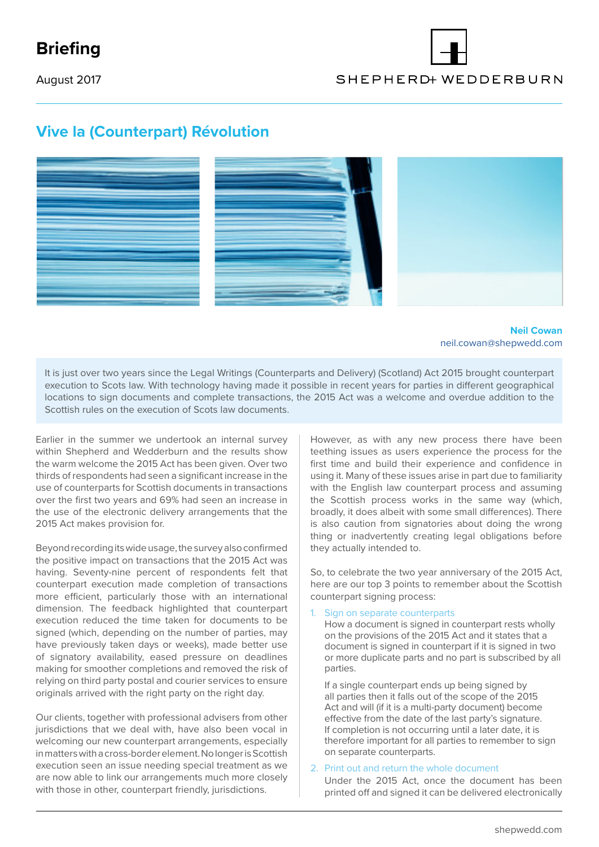## **Briefing**

August 2017

# SHEPHERD WEDDERBURN

### **Vive la (Counterpart) Révolution**



**Neil Cowan** neil.cowan@shepwedd.com

It is just over two years since the Legal Writings (Counterparts and Delivery) (Scotland) Act 2015 brought counterpart execution to Scots law. With technology having made it possible in recent years for parties in different geographical locations to sign documents and complete transactions, the 2015 Act was a welcome and overdue addition to the Scottish rules on the execution of Scots law documents.

Earlier in the summer we undertook an internal survey within Shepherd and Wedderburn and the results show the warm welcome the 2015 Act has been given. Over two thirds of respondents had seen a significant increase in the use of counterparts for Scottish documents in transactions over the first two years and 69% had seen an increase in the use of the electronic delivery arrangements that the 2015 Act makes provision for.

Beyond recording its wide usage, the survey also confirmed the positive impact on transactions that the 2015 Act was having. Seventy-nine percent of respondents felt that counterpart execution made completion of transactions more efficient, particularly those with an international dimension. The feedback highlighted that counterpart execution reduced the time taken for documents to be signed (which, depending on the number of parties, may have previously taken days or weeks), made better use of signatory availability, eased pressure on deadlines making for smoother completions and removed the risk of relying on third party postal and courier services to ensure originals arrived with the right party on the right day.

Our clients, together with professional advisers from other jurisdictions that we deal with, have also been vocal in welcoming our new counterpart arrangements, especially in matters with a cross-border element. No longer is Scottish execution seen an issue needing special treatment as we are now able to link our arrangements much more closely with those in other, counterpart friendly, jurisdictions.

However, as with any new process there have been teething issues as users experience the process for the first time and build their experience and confidence in using it. Many of these issues arise in part due to familiarity with the English law counterpart process and assuming the Scottish process works in the same way (which, broadly, it does albeit with some small differences). There is also caution from signatories about doing the wrong thing or inadvertently creating legal obligations before they actually intended to.

So, to celebrate the two year anniversary of the 2015 Act, here are our top 3 points to remember about the Scottish counterpart signing process:

Sign on separate counterparts

How a document is signed in counterpart rests wholly on the provisions of the 2015 Act and it states that a document is signed in counterpart if it is signed in two or more duplicate parts and no part is subscribed by all parties.

If a single counterpart ends up being signed by all parties then it falls out of the scope of the 2015 Act and will (if it is a multi-party document) become effective from the date of the last party's signature. If completion is not occurring until a later date, it is therefore important for all parties to remember to sign on separate counterparts.

#### 2. Print out and return the whole document

Under the 2015 Act, once the document has been printed off and signed it can be delivered electronically